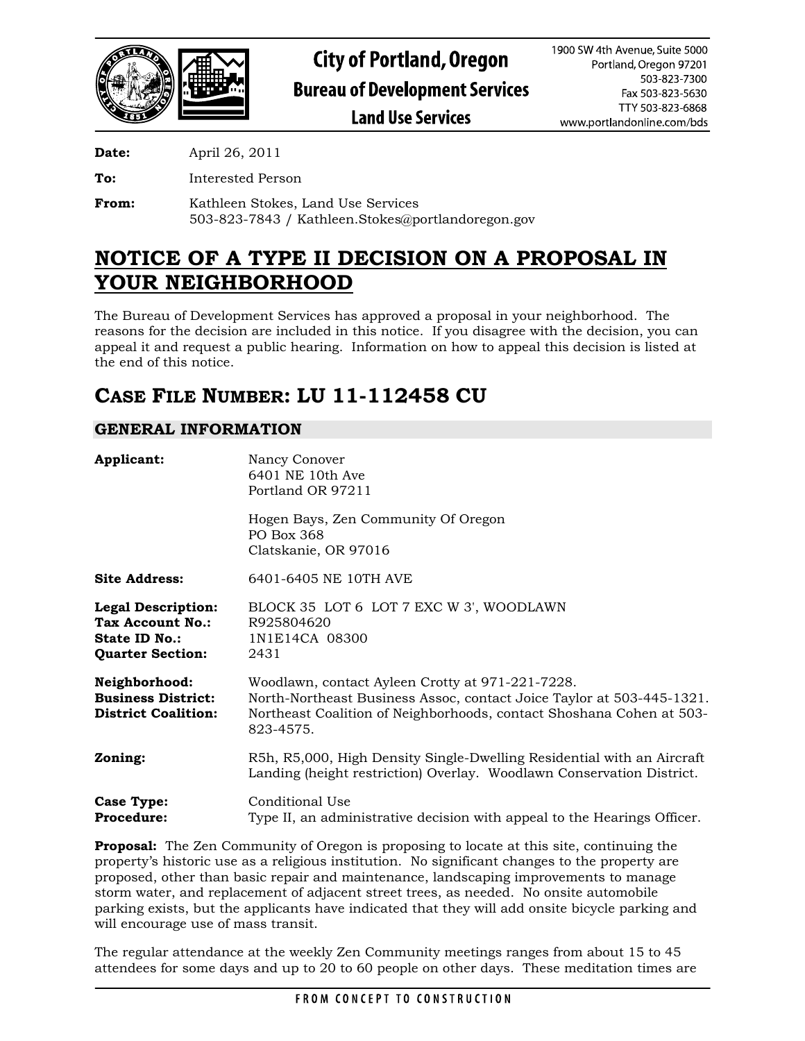

**Date:** April 26, 2011

**To:** Interested Person

**From:** Kathleen Stokes, Land Use Services 503-823-7843 / Kathleen.Stokes@portlandoregon.gov

# **NOTICE OF A TYPE II DECISION ON A PROPOSAL IN YOUR NEIGHBORHOOD**

The Bureau of Development Services has approved a proposal in your neighborhood. The reasons for the decision are included in this notice. If you disagree with the decision, you can appeal it and request a public hearing. Information on how to appeal this decision is listed at the end of this notice.

# **CASE FILE NUMBER: LU 11-112458 CU**

# **GENERAL INFORMATION**

| Applicant:                                                                                       | Nancy Conover<br>6401 NE 10th Ave<br>Portland OR 97211<br>Hogen Bays, Zen Community Of Oregon                                                                                                                  |
|--------------------------------------------------------------------------------------------------|----------------------------------------------------------------------------------------------------------------------------------------------------------------------------------------------------------------|
|                                                                                                  | PO Box 368<br>Clatskanie, OR 97016                                                                                                                                                                             |
| <b>Site Address:</b>                                                                             | 6401-6405 NE 10TH AVE                                                                                                                                                                                          |
| <b>Legal Description:</b><br>Tax Account No.:<br><b>State ID No.:</b><br><b>Quarter Section:</b> | BLOCK 35 LOT 6 LOT 7 EXC W 3', WOODLAWN<br>R925804620<br>1N1E14CA 08300<br>2431                                                                                                                                |
| Neighborhood:<br><b>Business District:</b><br><b>District Coalition:</b>                         | Woodlawn, contact Ayleen Crotty at 971-221-7228.<br>North-Northeast Business Assoc, contact Joice Taylor at 503-445-1321.<br>Northeast Coalition of Neighborhoods, contact Shoshana Cohen at 503-<br>823-4575. |
| Zoning:                                                                                          | R5h, R5,000, High Density Single-Dwelling Residential with an Aircraft<br>Landing (height restriction) Overlay. Woodlawn Conservation District.                                                                |
| <b>Case Type:</b><br><b>Procedure:</b>                                                           | Conditional Use<br>Type II, an administrative decision with appeal to the Hearings Officer.                                                                                                                    |

**Proposal:** The Zen Community of Oregon is proposing to locate at this site, continuing the property's historic use as a religious institution. No significant changes to the property are proposed, other than basic repair and maintenance, landscaping improvements to manage storm water, and replacement of adjacent street trees, as needed. No onsite automobile parking exists, but the applicants have indicated that they will add onsite bicycle parking and will encourage use of mass transit.

The regular attendance at the weekly Zen Community meetings ranges from about 15 to 45 attendees for some days and up to 20 to 60 people on other days. These meditation times are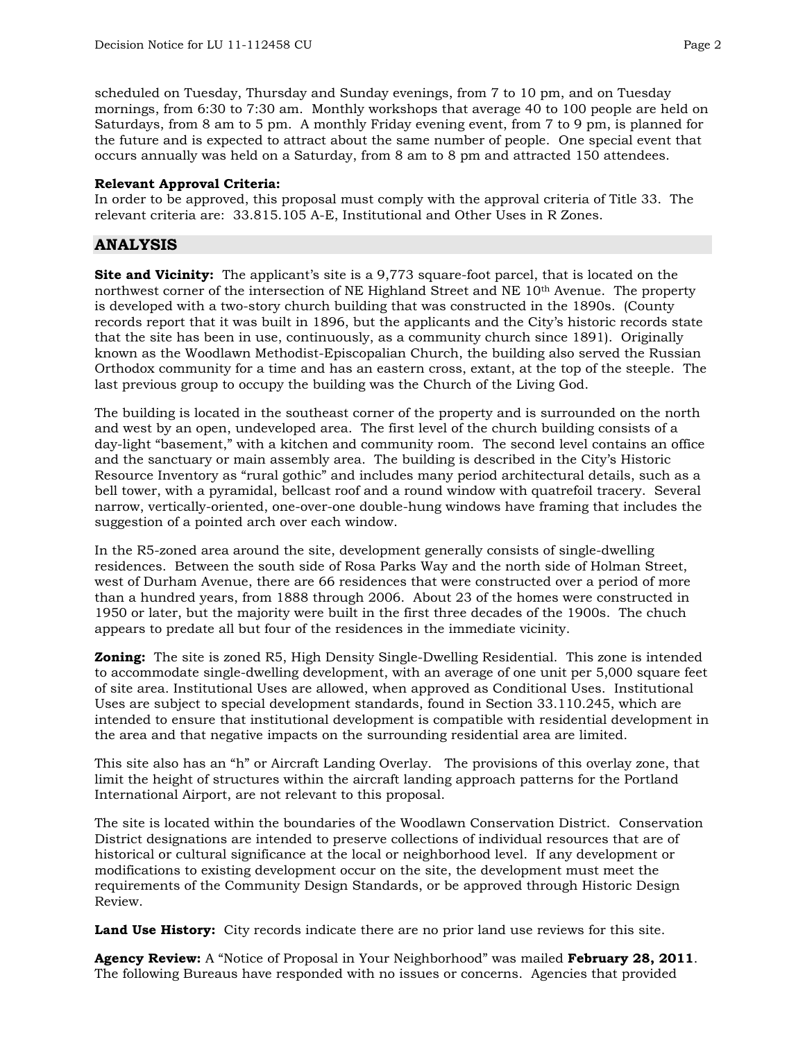scheduled on Tuesday, Thursday and Sunday evenings, from 7 to 10 pm, and on Tuesday mornings, from 6:30 to 7:30 am. Monthly workshops that average 40 to 100 people are held on Saturdays, from 8 am to 5 pm. A monthly Friday evening event, from 7 to 9 pm, is planned for the future and is expected to attract about the same number of people. One special event that occurs annually was held on a Saturday, from 8 am to 8 pm and attracted 150 attendees.

## **Relevant Approval Criteria:**

In order to be approved, this proposal must comply with the approval criteria of Title 33. The relevant criteria are: 33.815.105 A-E, Institutional and Other Uses in R Zones.

# **ANALYSIS**

**Site and Vicinity:** The applicant's site is a 9,773 square-foot parcel, that is located on the northwest corner of the intersection of NE Highland Street and NE 10th Avenue. The property is developed with a two-story church building that was constructed in the 1890s. (County records report that it was built in 1896, but the applicants and the City's historic records state that the site has been in use, continuously, as a community church since 1891). Originally known as the Woodlawn Methodist-Episcopalian Church, the building also served the Russian Orthodox community for a time and has an eastern cross, extant, at the top of the steeple. The last previous group to occupy the building was the Church of the Living God.

The building is located in the southeast corner of the property and is surrounded on the north and west by an open, undeveloped area. The first level of the church building consists of a day-light "basement," with a kitchen and community room. The second level contains an office and the sanctuary or main assembly area. The building is described in the City's Historic Resource Inventory as "rural gothic" and includes many period architectural details, such as a bell tower, with a pyramidal, bellcast roof and a round window with quatrefoil tracery. Several narrow, vertically-oriented, one-over-one double-hung windows have framing that includes the suggestion of a pointed arch over each window.

In the R5-zoned area around the site, development generally consists of single-dwelling residences. Between the south side of Rosa Parks Way and the north side of Holman Street, west of Durham Avenue, there are 66 residences that were constructed over a period of more than a hundred years, from 1888 through 2006. About 23 of the homes were constructed in 1950 or later, but the majority were built in the first three decades of the 1900s. The chuch appears to predate all but four of the residences in the immediate vicinity.

**Zoning:** The site is zoned R5, High Density Single-Dwelling Residential. This zone is intended to accommodate single-dwelling development, with an average of one unit per 5,000 square feet of site area. Institutional Uses are allowed, when approved as Conditional Uses. Institutional Uses are subject to special development standards, found in Section 33.110.245, which are intended to ensure that institutional development is compatible with residential development in the area and that negative impacts on the surrounding residential area are limited.

This site also has an "h" or Aircraft Landing Overlay. The provisions of this overlay zone, that limit the height of structures within the aircraft landing approach patterns for the Portland International Airport, are not relevant to this proposal.

The site is located within the boundaries of the Woodlawn Conservation District. Conservation District designations are intended to preserve collections of individual resources that are of historical or cultural significance at the local or neighborhood level. If any development or modifications to existing development occur on the site, the development must meet the requirements of the Community Design Standards, or be approved through Historic Design Review.

**Land Use History:** City records indicate there are no prior land use reviews for this site.

**Agency Review:** A "Notice of Proposal in Your Neighborhood" was mailed **February 28, 2011**. The following Bureaus have responded with no issues or concerns. Agencies that provided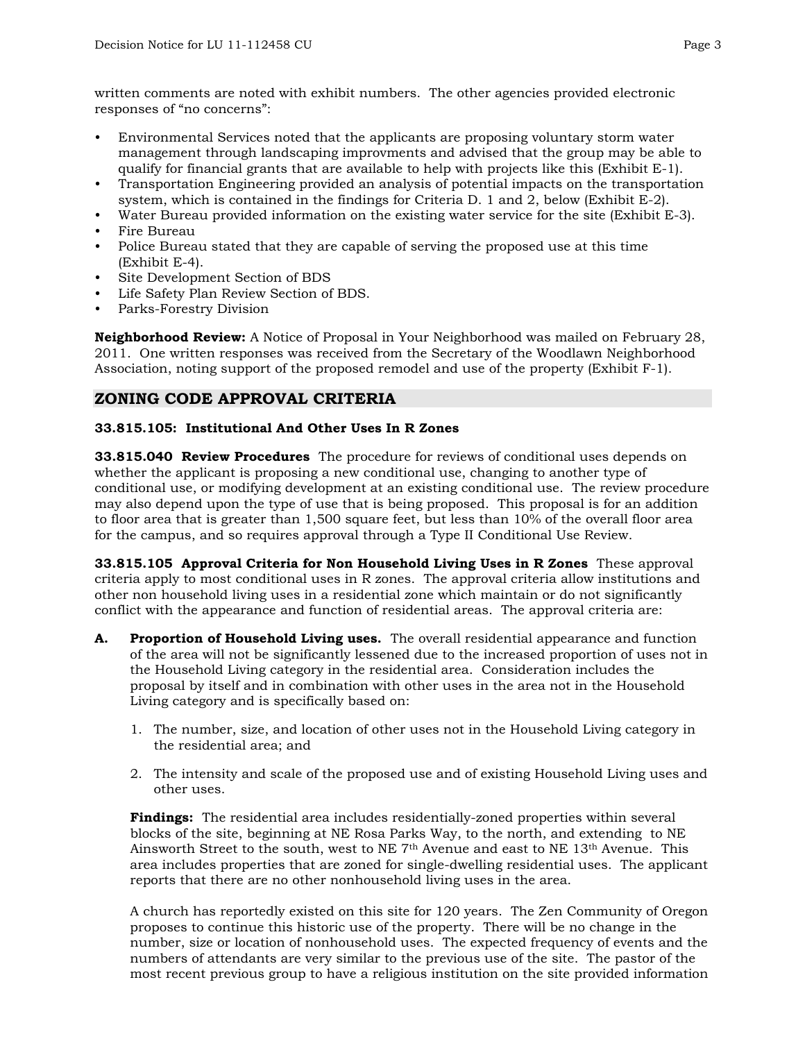written comments are noted with exhibit numbers. The other agencies provided electronic responses of "no concerns":

- Environmental Services noted that the applicants are proposing voluntary storm water management through landscaping improvments and advised that the group may be able to qualify for financial grants that are available to help with projects like this (Exhibit E-1).
- Transportation Engineering provided an analysis of potential impacts on the transportation system, which is contained in the findings for Criteria D. 1 and 2, below (Exhibit E-2).
- Water Bureau provided information on the existing water service for the site (Exhibit E-3).
- Fire Bureau
- Police Bureau stated that they are capable of serving the proposed use at this time (Exhibit E-4).
- Site Development Section of BDS
- Life Safety Plan Review Section of BDS.
- Parks-Forestry Division

**Neighborhood Review:** A Notice of Proposal in Your Neighborhood was mailed on February 28, 2011. One written responses was received from the Secretary of the Woodlawn Neighborhood Association, noting support of the proposed remodel and use of the property (Exhibit F-1).

# **ZONING CODE APPROVAL CRITERIA**

#### **33.815.105: Institutional And Other Uses In R Zones**

**33.815.040 Review Procedures** The procedure for reviews of conditional uses depends on whether the applicant is proposing a new conditional use, changing to another type of conditional use, or modifying development at an existing conditional use. The review procedure may also depend upon the type of use that is being proposed. This proposal is for an addition to floor area that is greater than 1,500 square feet, but less than 10% of the overall floor area for the campus, and so requires approval through a Type II Conditional Use Review.

**33.815.105 Approval Criteria for Non Household Living Uses in R Zones** These approval criteria apply to most conditional uses in R zones. The approval criteria allow institutions and other non household living uses in a residential zone which maintain or do not significantly conflict with the appearance and function of residential areas. The approval criteria are:

- **A. Proportion of Household Living uses.** The overall residential appearance and function of the area will not be significantly lessened due to the increased proportion of uses not in the Household Living category in the residential area. Consideration includes the proposal by itself and in combination with other uses in the area not in the Household Living category and is specifically based on:
	- 1. The number, size, and location of other uses not in the Household Living category in the residential area; and
	- 2. The intensity and scale of the proposed use and of existing Household Living uses and other uses.

**Findings:** The residential area includes residentially-zoned properties within several blocks of the site, beginning at NE Rosa Parks Way, to the north, and extending to NE Ainsworth Street to the south, west to NE  $7<sup>th</sup>$  Avenue and east to NE  $13<sup>th</sup>$  Avenue. This area includes properties that are zoned for single-dwelling residential uses. The applicant reports that there are no other nonhousehold living uses in the area.

A church has reportedly existed on this site for 120 years. The Zen Community of Oregon proposes to continue this historic use of the property. There will be no change in the number, size or location of nonhousehold uses. The expected frequency of events and the numbers of attendants are very similar to the previous use of the site. The pastor of the most recent previous group to have a religious institution on the site provided information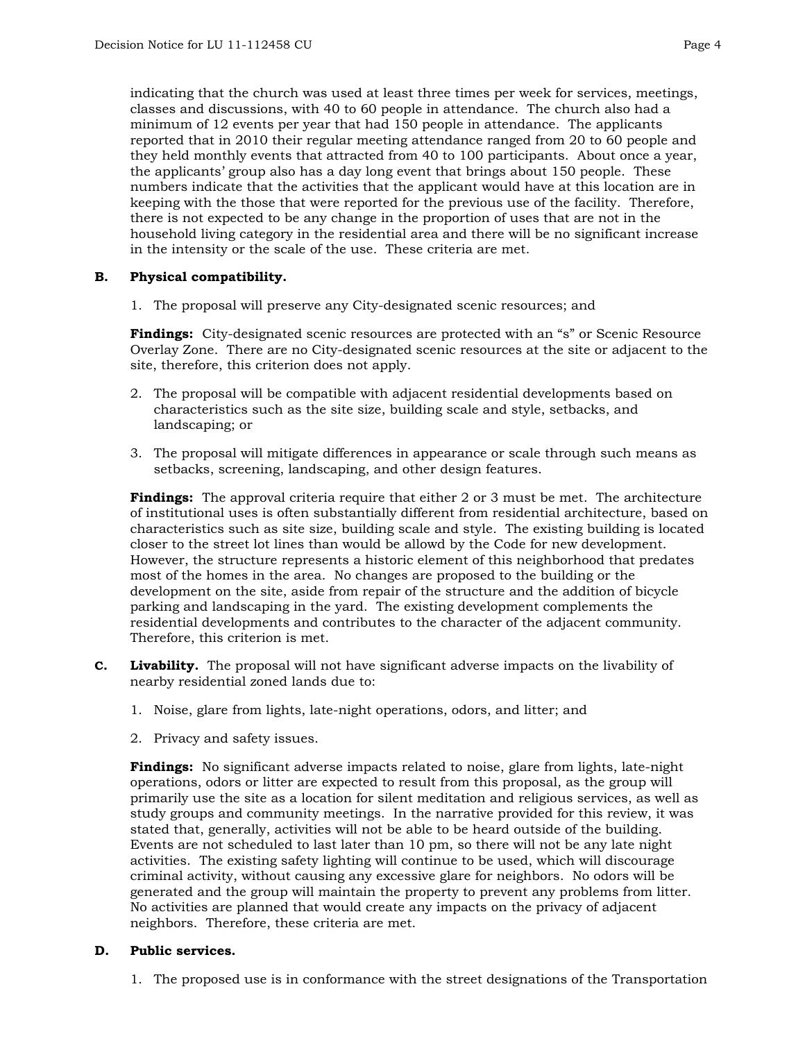indicating that the church was used at least three times per week for services, meetings, classes and discussions, with 40 to 60 people in attendance. The church also had a minimum of 12 events per year that had 150 people in attendance. The applicants reported that in 2010 their regular meeting attendance ranged from 20 to 60 people and they held monthly events that attracted from 40 to 100 participants. About once a year, the applicants' group also has a day long event that brings about 150 people. These numbers indicate that the activities that the applicant would have at this location are in keeping with the those that were reported for the previous use of the facility. Therefore, there is not expected to be any change in the proportion of uses that are not in the household living category in the residential area and there will be no significant increase in the intensity or the scale of the use. These criteria are met.

## **B. Physical compatibility.**

1. The proposal will preserve any City-designated scenic resources; and

**Findings:** City-designated scenic resources are protected with an "s" or Scenic Resource Overlay Zone. There are no City-designated scenic resources at the site or adjacent to the site, therefore, this criterion does not apply.

- 2. The proposal will be compatible with adjacent residential developments based on characteristics such as the site size, building scale and style, setbacks, and landscaping; or
- 3. The proposal will mitigate differences in appearance or scale through such means as setbacks, screening, landscaping, and other design features.

**Findings:** The approval criteria require that either 2 or 3 must be met. The architecture of institutional uses is often substantially different from residential architecture, based on characteristics such as site size, building scale and style. The existing building is located closer to the street lot lines than would be allowd by the Code for new development. However, the structure represents a historic element of this neighborhood that predates most of the homes in the area. No changes are proposed to the building or the development on the site, aside from repair of the structure and the addition of bicycle parking and landscaping in the yard. The existing development complements the residential developments and contributes to the character of the adjacent community. Therefore, this criterion is met.

- **C. Livability.** The proposal will not have significant adverse impacts on the livability of nearby residential zoned lands due to:
	- 1. Noise, glare from lights, late-night operations, odors, and litter; and
	- 2. Privacy and safety issues.

**Findings:** No significant adverse impacts related to noise, glare from lights, late-night operations, odors or litter are expected to result from this proposal, as the group will primarily use the site as a location for silent meditation and religious services, as well as study groups and community meetings. In the narrative provided for this review, it was stated that, generally, activities will not be able to be heard outside of the building. Events are not scheduled to last later than 10 pm, so there will not be any late night activities. The existing safety lighting will continue to be used, which will discourage criminal activity, without causing any excessive glare for neighbors. No odors will be generated and the group will maintain the property to prevent any problems from litter. No activities are planned that would create any impacts on the privacy of adjacent neighbors. Therefore, these criteria are met.

## **D. Public services.**

1. The proposed use is in conformance with the street designations of the Transportation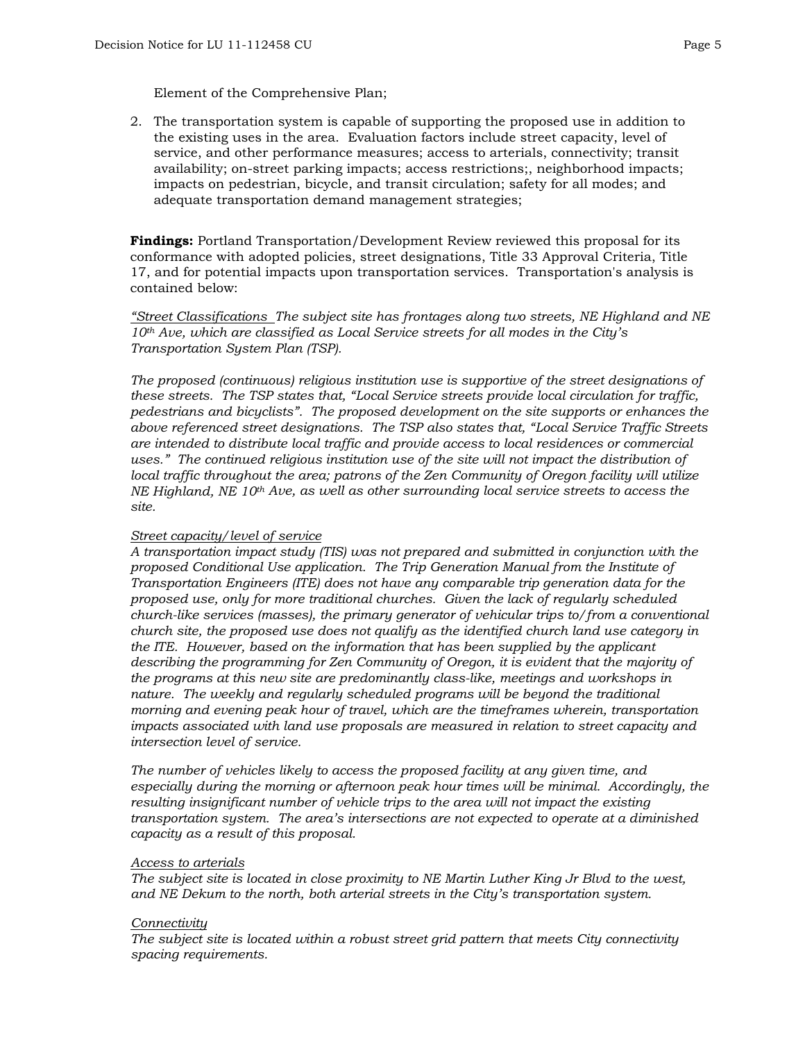Element of the Comprehensive Plan;

2. The transportation system is capable of supporting the proposed use in addition to the existing uses in the area. Evaluation factors include street capacity, level of service, and other performance measures; access to arterials, connectivity; transit availability; on-street parking impacts; access restrictions;, neighborhood impacts; impacts on pedestrian, bicycle, and transit circulation; safety for all modes; and adequate transportation demand management strategies;

**Findings:** Portland Transportation/Development Review reviewed this proposal for its conformance with adopted policies, street designations, Title 33 Approval Criteria, Title 17, and for potential impacts upon transportation services. Transportation's analysis is contained below:

*"Street Classifications The subject site has frontages along two streets, NE Highland and NE 10th Ave, which are classified as Local Service streets for all modes in the City's Transportation System Plan (TSP).* 

*The proposed (continuous) religious institution use is supportive of the street designations of these streets. The TSP states that, "Local Service streets provide local circulation for traffic, pedestrians and bicyclists". The proposed development on the site supports or enhances the above referenced street designations. The TSP also states that, "Local Service Traffic Streets are intended to distribute local traffic and provide access to local residences or commercial uses." The continued religious institution use of the site will not impact the distribution of local traffic throughout the area; patrons of the Zen Community of Oregon facility will utilize NE Highland, NE 10th Ave, as well as other surrounding local service streets to access the site.* 

#### *Street capacity/level of service*

*A transportation impact study (TIS) was not prepared and submitted in conjunction with the proposed Conditional Use application. The Trip Generation Manual from the Institute of Transportation Engineers (ITE) does not have any comparable trip generation data for the proposed use, only for more traditional churches. Given the lack of regularly scheduled church-like services (masses), the primary generator of vehicular trips to/from a conventional church site, the proposed use does not qualify as the identified church land use category in the ITE. However, based on the information that has been supplied by the applicant describing the programming for Zen Community of Oregon, it is evident that the majority of the programs at this new site are predominantly class-like, meetings and workshops in nature. The weekly and regularly scheduled programs will be beyond the traditional morning and evening peak hour of travel, which are the timeframes wherein, transportation impacts associated with land use proposals are measured in relation to street capacity and intersection level of service.* 

*The number of vehicles likely to access the proposed facility at any given time, and especially during the morning or afternoon peak hour times will be minimal. Accordingly, the resulting insignificant number of vehicle trips to the area will not impact the existing transportation system. The area's intersections are not expected to operate at a diminished capacity as a result of this proposal.* 

#### *Access to arterials*

*The subject site is located in close proximity to NE Martin Luther King Jr Blvd to the west, and NE Dekum to the north, both arterial streets in the City's transportation system.* 

#### *Connectivity*

*The subject site is located within a robust street grid pattern that meets City connectivity spacing requirements.*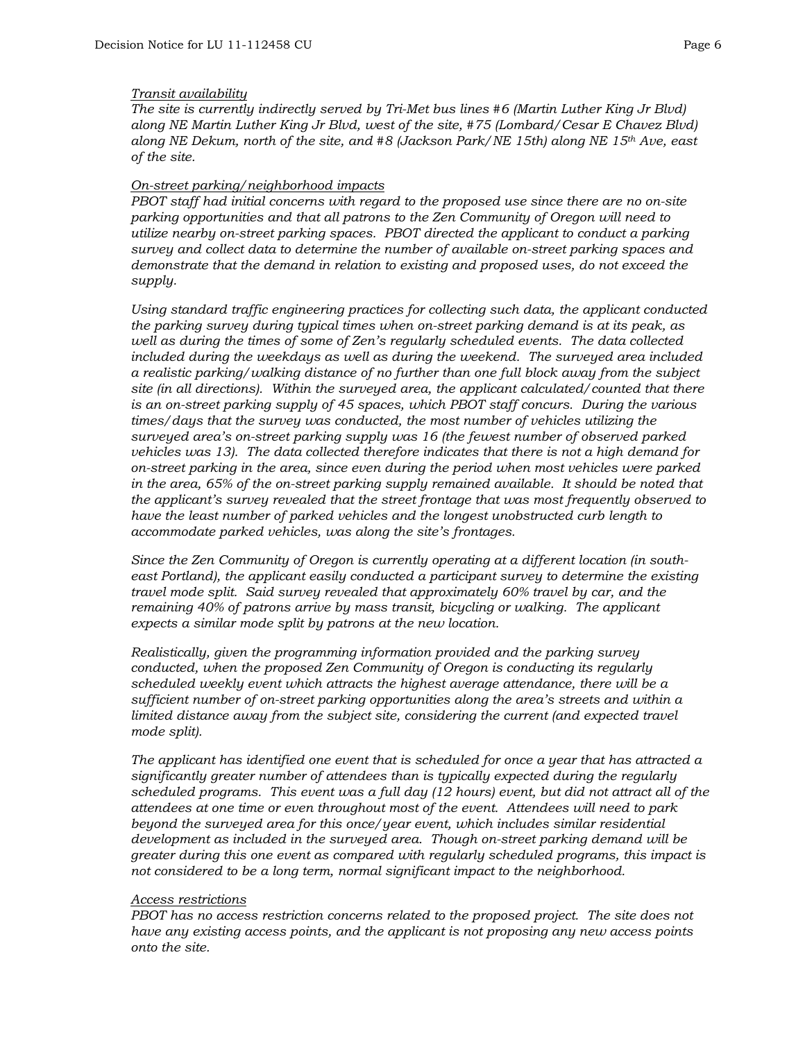#### *Transit availability*

*The site is currently indirectly served by Tri-Met bus lines #6 (Martin Luther King Jr Blvd) along NE Martin Luther King Jr Blvd, west of the site, #75 (Lombard/Cesar E Chavez Blvd) along NE Dekum, north of the site, and #8 (Jackson Park/NE 15th) along NE 15th Ave, east of the site.* 

#### *On-street parking/neighborhood impacts*

*PBOT staff had initial concerns with regard to the proposed use since there are no on-site parking opportunities and that all patrons to the Zen Community of Oregon will need to utilize nearby on-street parking spaces. PBOT directed the applicant to conduct a parking survey and collect data to determine the number of available on-street parking spaces and demonstrate that the demand in relation to existing and proposed uses, do not exceed the supply.* 

*Using standard traffic engineering practices for collecting such data, the applicant conducted the parking survey during typical times when on-street parking demand is at its peak, as well as during the times of some of Zen's regularly scheduled events. The data collected included during the weekdays as well as during the weekend. The surveyed area included a realistic parking/walking distance of no further than one full block away from the subject site (in all directions). Within the surveyed area, the applicant calculated/counted that there is an on-street parking supply of 45 spaces, which PBOT staff concurs. During the various times/days that the survey was conducted, the most number of vehicles utilizing the surveyed area's on-street parking supply was 16 (the fewest number of observed parked vehicles was 13). The data collected therefore indicates that there is not a high demand for on-street parking in the area, since even during the period when most vehicles were parked*  in the area, 65% of the on-street parking supply remained available. It should be noted that *the applicant's survey revealed that the street frontage that was most frequently observed to have the least number of parked vehicles and the longest unobstructed curb length to accommodate parked vehicles, was along the site's frontages.* 

*Since the Zen Community of Oregon is currently operating at a different location (in southeast Portland), the applicant easily conducted a participant survey to determine the existing travel mode split. Said survey revealed that approximately 60% travel by car, and the remaining 40% of patrons arrive by mass transit, bicycling or walking. The applicant expects a similar mode split by patrons at the new location.* 

*Realistically, given the programming information provided and the parking survey conducted, when the proposed Zen Community of Oregon is conducting its regularly scheduled weekly event which attracts the highest average attendance, there will be a sufficient number of on-street parking opportunities along the area's streets and within a limited distance away from the subject site, considering the current (and expected travel mode split).* 

*The applicant has identified one event that is scheduled for once a year that has attracted a significantly greater number of attendees than is typically expected during the regularly scheduled programs. This event was a full day (12 hours) event, but did not attract all of the attendees at one time or even throughout most of the event. Attendees will need to park beyond the surveyed area for this once/year event, which includes similar residential development as included in the surveyed area. Though on-street parking demand will be greater during this one event as compared with regularly scheduled programs, this impact is not considered to be a long term, normal significant impact to the neighborhood.* 

#### *Access restrictions*

*PBOT has no access restriction concerns related to the proposed project. The site does not have any existing access points, and the applicant is not proposing any new access points onto the site.*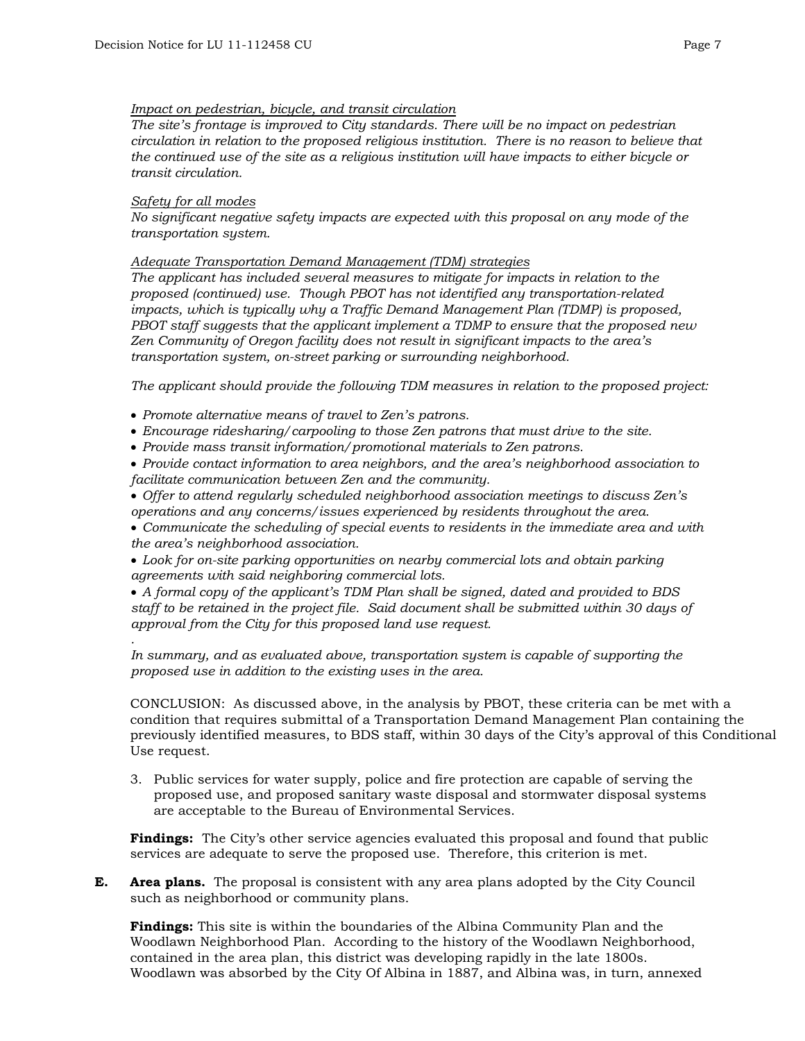## *Impact on pedestrian, bicycle, and transit circulation*

*The site's frontage is improved to City standards. There will be no impact on pedestrian circulation in relation to the proposed religious institution. There is no reason to believe that the continued use of the site as a religious institution will have impacts to either bicycle or transit circulation.* 

## *Safety for all modes*

*.* 

*No significant negative safety impacts are expected with this proposal on any mode of the transportation system.* 

*Adequate Transportation Demand Management (TDM) strategies*

*The applicant has included several measures to mitigate for impacts in relation to the proposed (continued) use. Though PBOT has not identified any transportation-related impacts, which is typically why a Traffic Demand Management Plan (TDMP) is proposed, PBOT staff suggests that the applicant implement a TDMP to ensure that the proposed new Zen Community of Oregon facility does not result in significant impacts to the area's transportation system, on-street parking or surrounding neighborhood.* 

*The applicant should provide the following TDM measures in relation to the proposed project:* 

- *Promote alternative means of travel to Zen's patrons.*
- *Encourage ridesharing/carpooling to those Zen patrons that must drive to the site.*
- *Provide mass transit information/promotional materials to Zen patrons.*
- *Provide contact information to area neighbors, and the area's neighborhood association to facilitate communication between Zen and the community.*
- *Offer to attend regularly scheduled neighborhood association meetings to discuss Zen's operations and any concerns/issues experienced by residents throughout the area.*
- *Communicate the scheduling of special events to residents in the immediate area and with the area's neighborhood association.*

• *Look for on-site parking opportunities on nearby commercial lots and obtain parking agreements with said neighboring commercial lots.* 

• *A formal copy of the applicant's TDM Plan shall be signed, dated and provided to BDS staff to be retained in the project file. Said document shall be submitted within 30 days of approval from the City for this proposed land use request.* 

*In summary, and as evaluated above, transportation system is capable of supporting the proposed use in addition to the existing uses in the area.* 

CONCLUSION: As discussed above, in the analysis by PBOT, these criteria can be met with a condition that requires submittal of a Transportation Demand Management Plan containing the previously identified measures, to BDS staff, within 30 days of the City's approval of this Conditional Use request.

3. Public services for water supply, police and fire protection are capable of serving the proposed use, and proposed sanitary waste disposal and stormwater disposal systems are acceptable to the Bureau of Environmental Services.

**Findings:** The City's other service agencies evaluated this proposal and found that public services are adequate to serve the proposed use. Therefore, this criterion is met.

**E. Area plans.** The proposal is consistent with any area plans adopted by the City Council such as neighborhood or community plans.

**Findings:** This site is within the boundaries of the Albina Community Plan and the Woodlawn Neighborhood Plan. According to the history of the Woodlawn Neighborhood, contained in the area plan, this district was developing rapidly in the late 1800s. Woodlawn was absorbed by the City Of Albina in 1887, and Albina was, in turn, annexed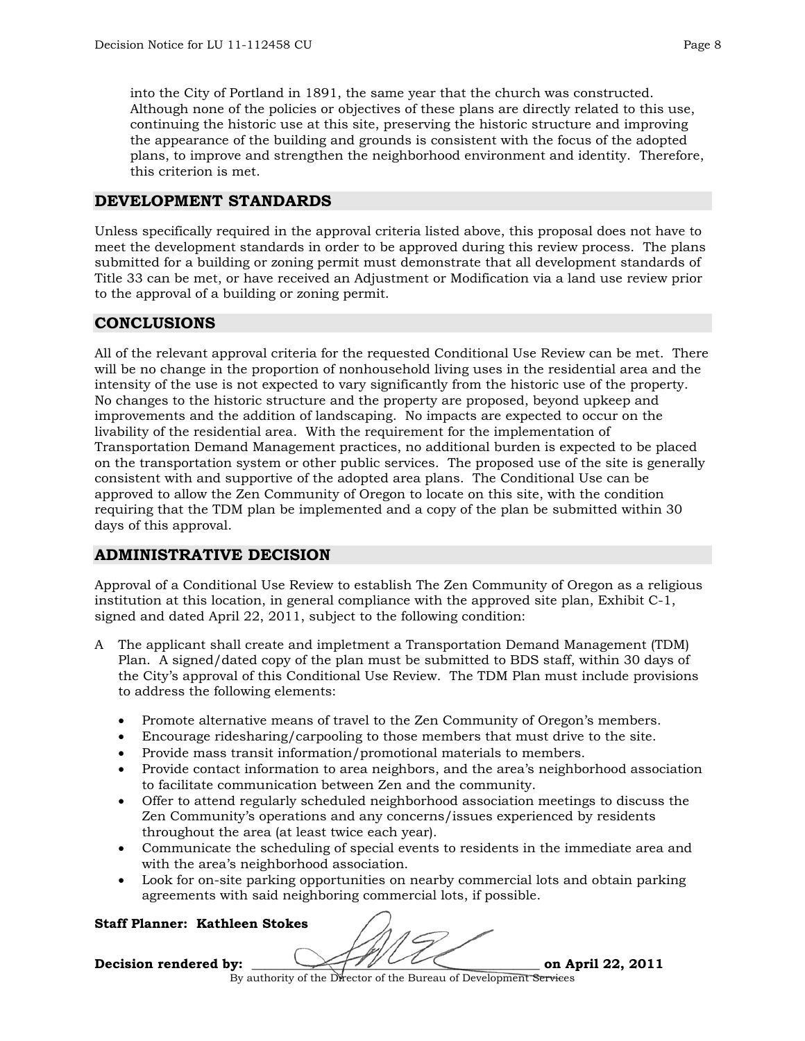into the City of Portland in 1891, the same year that the church was constructed. Although none of the policies or objectives of these plans are directly related to this use, continuing the historic use at this site, preserving the historic structure and improving the appearance of the building and grounds is consistent with the focus of the adopted plans, to improve and strengthen the neighborhood environment and identity. Therefore, this criterion is met.

# **DEVELOPMENT STANDARDS**

Unless specifically required in the approval criteria listed above, this proposal does not have to meet the development standards in order to be approved during this review process. The plans submitted for a building or zoning permit must demonstrate that all development standards of Title 33 can be met, or have received an Adjustment or Modification via a land use review prior to the approval of a building or zoning permit.

# **CONCLUSIONS**

All of the relevant approval criteria for the requested Conditional Use Review can be met. There will be no change in the proportion of nonhousehold living uses in the residential area and the intensity of the use is not expected to vary significantly from the historic use of the property. No changes to the historic structure and the property are proposed, beyond upkeep and improvements and the addition of landscaping. No impacts are expected to occur on the livability of the residential area. With the requirement for the implementation of Transportation Demand Management practices, no additional burden is expected to be placed on the transportation system or other public services. The proposed use of the site is generally consistent with and supportive of the adopted area plans. The Conditional Use can be approved to allow the Zen Community of Oregon to locate on this site, with the condition requiring that the TDM plan be implemented and a copy of the plan be submitted within 30 days of this approval.

# **ADMINISTRATIVE DECISION**

Approval of a Conditional Use Review to establish The Zen Community of Oregon as a religious institution at this location, in general compliance with the approved site plan, Exhibit C-1, signed and dated April 22, 2011, subject to the following condition:

- A The applicant shall create and impletment a Transportation Demand Management (TDM) Plan. A signed/dated copy of the plan must be submitted to BDS staff, within 30 days of the City's approval of this Conditional Use Review. The TDM Plan must include provisions to address the following elements:
	- Promote alternative means of travel to the Zen Community of Oregon's members.
	- Encourage ridesharing/carpooling to those members that must drive to the site.
	- Provide mass transit information/promotional materials to members.
	- Provide contact information to area neighbors, and the area's neighborhood association to facilitate communication between Zen and the community.
	- Offer to attend regularly scheduled neighborhood association meetings to discuss the Zen Community's operations and any concerns/issues experienced by residents throughout the area (at least twice each year).
	- Communicate the scheduling of special events to residents in the immediate area and with the area's neighborhood association.
	- Look for on-site parking opportunities on nearby commercial lots and obtain parking agreements with said neighboring commercial lots, if possible.

#### **Staff Planner: Kathleen Stokes**

**Decision rendered by: \_\_\_\_\_\_\_\_\_\_\_\_\_\_\_\_\_\_\_\_\_\_\_\_\_\_\_\_\_\_\_\_\_\_\_\_\_\_\_\_\_\_\_\_ on April 22, 2011** 

By authority of the Director of the Bureau of Development Services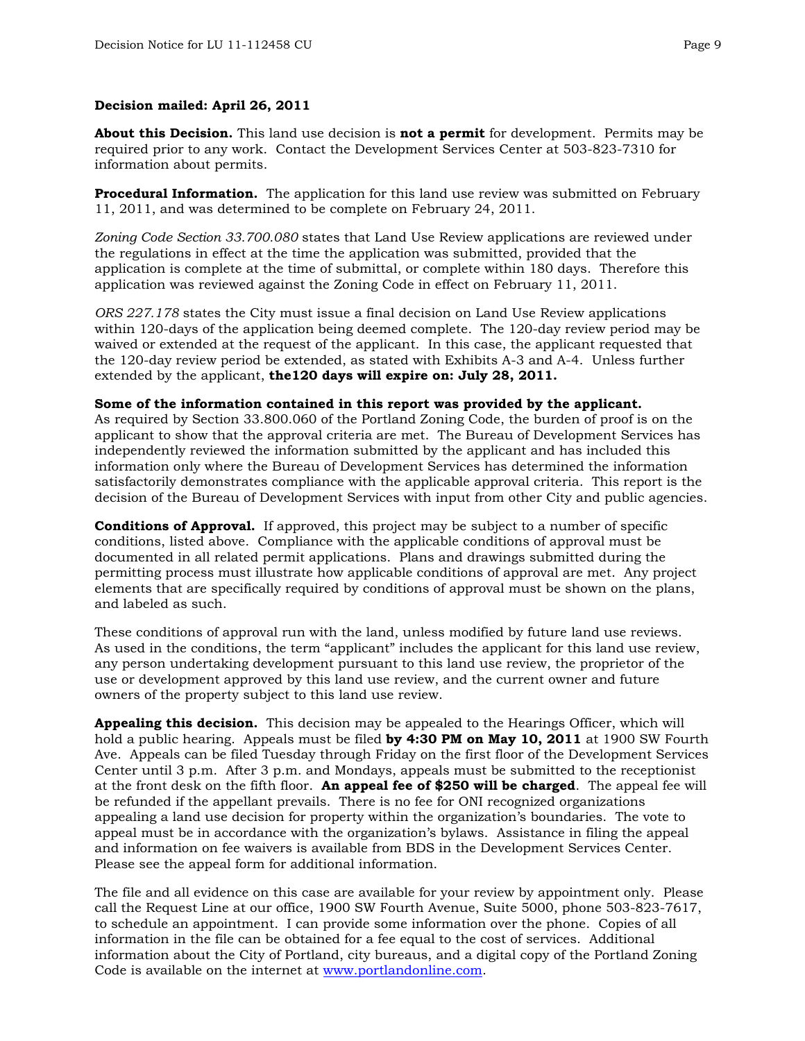#### **Decision mailed: April 26, 2011**

**About this Decision.** This land use decision is **not a permit** for development. Permits may be required prior to any work. Contact the Development Services Center at 503-823-7310 for information about permits.

**Procedural Information.** The application for this land use review was submitted on February 11, 2011, and was determined to be complete on February 24, 2011.

*Zoning Code Section 33.700.080* states that Land Use Review applications are reviewed under the regulations in effect at the time the application was submitted, provided that the application is complete at the time of submittal, or complete within 180 days. Therefore this application was reviewed against the Zoning Code in effect on February 11, 2011.

*ORS 227.178* states the City must issue a final decision on Land Use Review applications within 120-days of the application being deemed complete. The 120-day review period may be waived or extended at the request of the applicant. In this case, the applicant requested that the 120-day review period be extended, as stated with Exhibits A-3 and A-4. Unless further extended by the applicant, **the120 days will expire on: July 28, 2011.**

#### **Some of the information contained in this report was provided by the applicant.**

As required by Section 33.800.060 of the Portland Zoning Code, the burden of proof is on the applicant to show that the approval criteria are met. The Bureau of Development Services has independently reviewed the information submitted by the applicant and has included this information only where the Bureau of Development Services has determined the information satisfactorily demonstrates compliance with the applicable approval criteria. This report is the decision of the Bureau of Development Services with input from other City and public agencies.

**Conditions of Approval.** If approved, this project may be subject to a number of specific conditions, listed above. Compliance with the applicable conditions of approval must be documented in all related permit applications. Plans and drawings submitted during the permitting process must illustrate how applicable conditions of approval are met. Any project elements that are specifically required by conditions of approval must be shown on the plans, and labeled as such.

These conditions of approval run with the land, unless modified by future land use reviews. As used in the conditions, the term "applicant" includes the applicant for this land use review, any person undertaking development pursuant to this land use review, the proprietor of the use or development approved by this land use review, and the current owner and future owners of the property subject to this land use review.

**Appealing this decision.** This decision may be appealed to the Hearings Officer, which will hold a public hearing. Appeals must be filed **by 4:30 PM on May 10, 2011** at 1900 SW Fourth Ave. Appeals can be filed Tuesday through Friday on the first floor of the Development Services Center until 3 p.m. After 3 p.m. and Mondays, appeals must be submitted to the receptionist at the front desk on the fifth floor. **An appeal fee of \$250 will be charged**. The appeal fee will be refunded if the appellant prevails. There is no fee for ONI recognized organizations appealing a land use decision for property within the organization's boundaries. The vote to appeal must be in accordance with the organization's bylaws. Assistance in filing the appeal and information on fee waivers is available from BDS in the Development Services Center. Please see the appeal form for additional information.

The file and all evidence on this case are available for your review by appointment only. Please call the Request Line at our office, 1900 SW Fourth Avenue, Suite 5000, phone 503-823-7617, to schedule an appointment. I can provide some information over the phone. Copies of all information in the file can be obtained for a fee equal to the cost of services. Additional information about the City of Portland, city bureaus, and a digital copy of the Portland Zoning Code is available on the internet at [www.portlandonline.com](http://www.ci.portland.or.us/).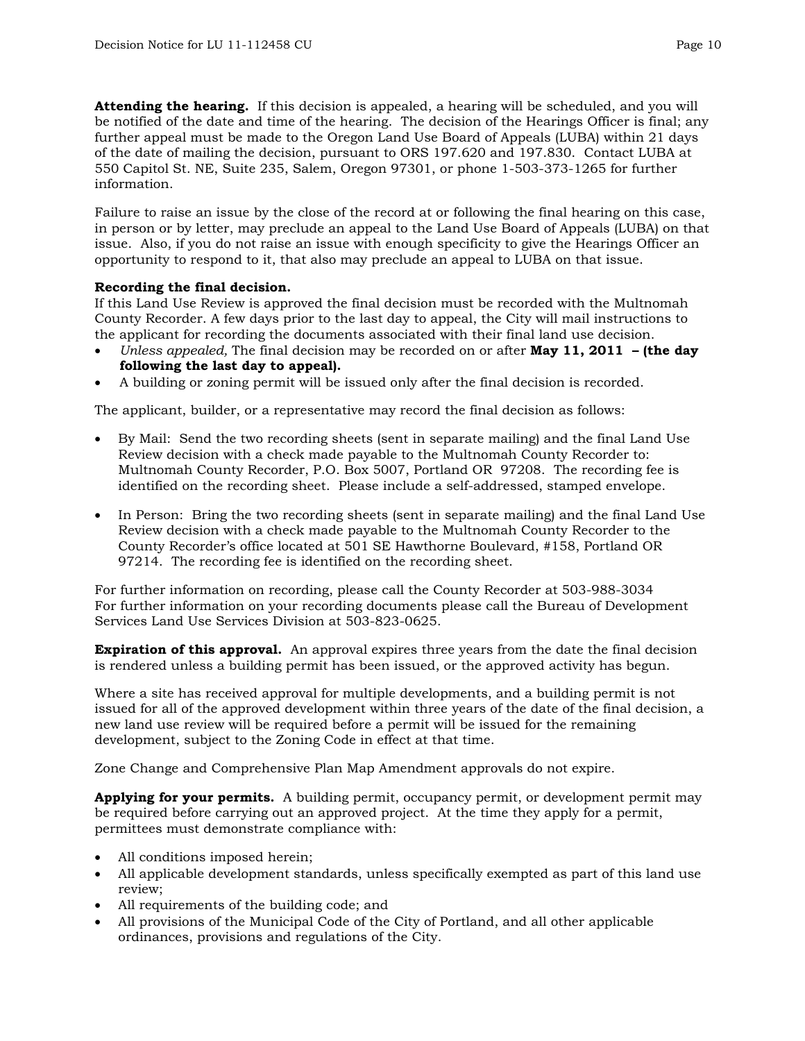**Attending the hearing.** If this decision is appealed, a hearing will be scheduled, and you will be notified of the date and time of the hearing. The decision of the Hearings Officer is final; any further appeal must be made to the Oregon Land Use Board of Appeals (LUBA) within 21 days of the date of mailing the decision, pursuant to ORS 197.620 and 197.830. Contact LUBA at 550 Capitol St. NE, Suite 235, Salem, Oregon 97301, or phone 1-503-373-1265 for further information.

Failure to raise an issue by the close of the record at or following the final hearing on this case, in person or by letter, may preclude an appeal to the Land Use Board of Appeals (LUBA) on that issue. Also, if you do not raise an issue with enough specificity to give the Hearings Officer an opportunity to respond to it, that also may preclude an appeal to LUBA on that issue.

## **Recording the final decision.**

If this Land Use Review is approved the final decision must be recorded with the Multnomah County Recorder. A few days prior to the last day to appeal, the City will mail instructions to the applicant for recording the documents associated with their final land use decision.

- *Unless appealed,* The final decision may be recorded on or after **May 11, 2011 (the day following the last day to appeal).**
- A building or zoning permit will be issued only after the final decision is recorded.

The applicant, builder, or a representative may record the final decision as follows:

- By Mail: Send the two recording sheets (sent in separate mailing) and the final Land Use Review decision with a check made payable to the Multnomah County Recorder to: Multnomah County Recorder, P.O. Box 5007, Portland OR 97208. The recording fee is identified on the recording sheet. Please include a self-addressed, stamped envelope.
- In Person: Bring the two recording sheets (sent in separate mailing) and the final Land Use Review decision with a check made payable to the Multnomah County Recorder to the County Recorder's office located at 501 SE Hawthorne Boulevard, #158, Portland OR 97214. The recording fee is identified on the recording sheet.

For further information on recording, please call the County Recorder at 503-988-3034 For further information on your recording documents please call the Bureau of Development Services Land Use Services Division at 503-823-0625.

**Expiration of this approval.** An approval expires three years from the date the final decision is rendered unless a building permit has been issued, or the approved activity has begun.

Where a site has received approval for multiple developments, and a building permit is not issued for all of the approved development within three years of the date of the final decision, a new land use review will be required before a permit will be issued for the remaining development, subject to the Zoning Code in effect at that time.

Zone Change and Comprehensive Plan Map Amendment approvals do not expire.

**Applying for your permits.** A building permit, occupancy permit, or development permit may be required before carrying out an approved project. At the time they apply for a permit, permittees must demonstrate compliance with:

- All conditions imposed herein;
- All applicable development standards, unless specifically exempted as part of this land use review;
- All requirements of the building code; and
- All provisions of the Municipal Code of the City of Portland, and all other applicable ordinances, provisions and regulations of the City.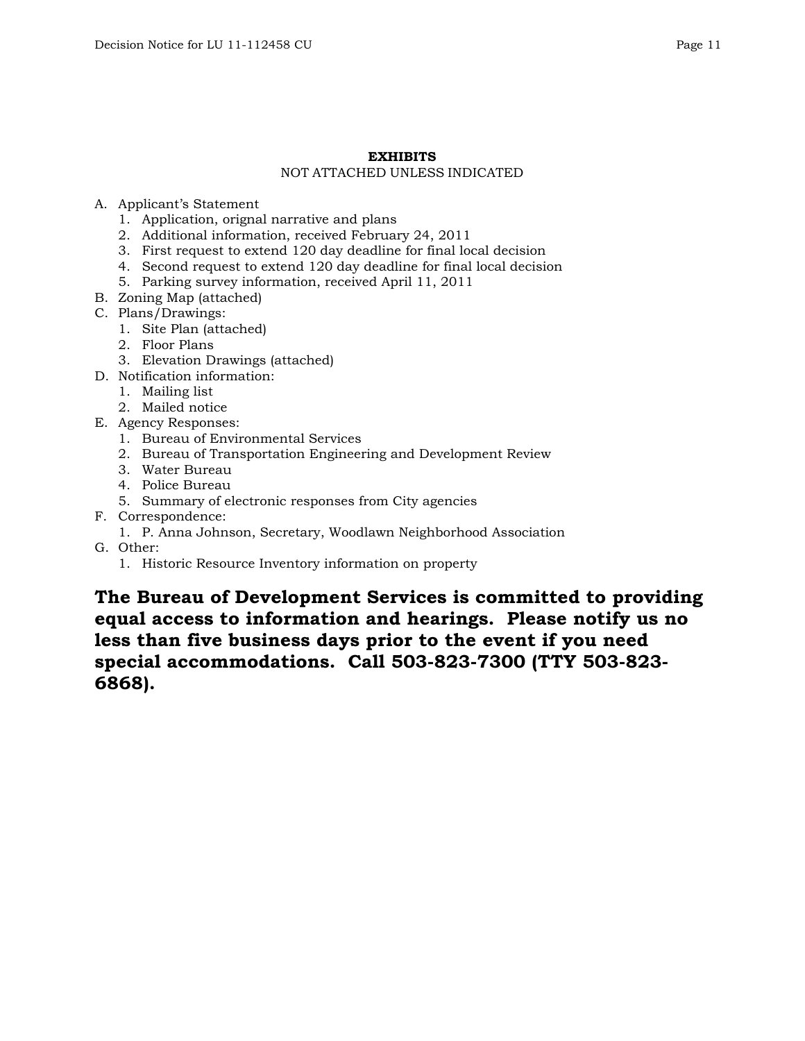#### **EXHIBITS**  NOT ATTACHED UNLESS INDICATED

## A. Applicant's Statement

- 1. Application, orignal narrative and plans
- 2. Additional information, received February 24, 2011
- 3. First request to extend 120 day deadline for final local decision
- 4. Second request to extend 120 day deadline for final local decision
- 5. Parking survey information, received April 11, 2011
- B. Zoning Map (attached)
- C. Plans/Drawings:
	- 1. Site Plan (attached)
	- 2. Floor Plans
	- 3. Elevation Drawings (attached)
- D. Notification information:
	- 1. Mailing list
	- 2. Mailed notice
- E. Agency Responses:
	- 1. Bureau of Environmental Services
	- 2. Bureau of Transportation Engineering and Development Review
	- 3. Water Bureau
	- 4. Police Bureau
	- 5. Summary of electronic responses from City agencies
- F. Correspondence:
	- 1. P. Anna Johnson, Secretary, Woodlawn Neighborhood Association
- G. Other:
	- 1. Historic Resource Inventory information on property

**The Bureau of Development Services is committed to providing equal access to information and hearings. Please notify us no less than five business days prior to the event if you need special accommodations. Call 503-823-7300 (TTY 503-823- 6868).**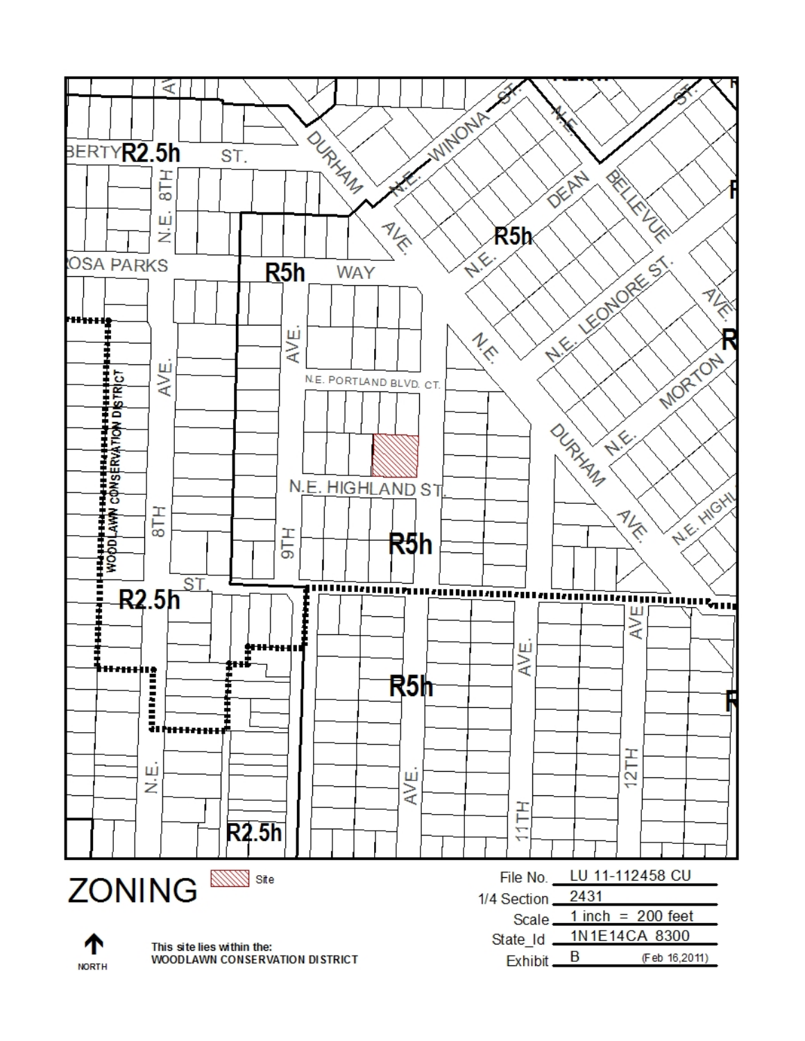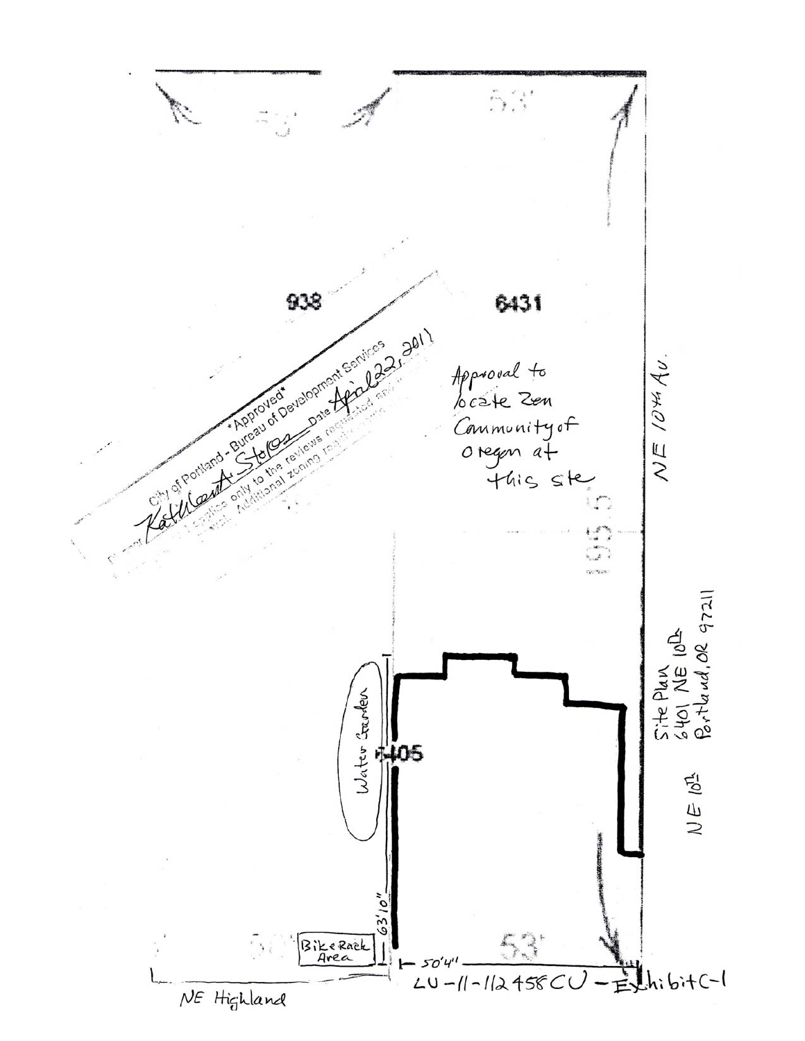